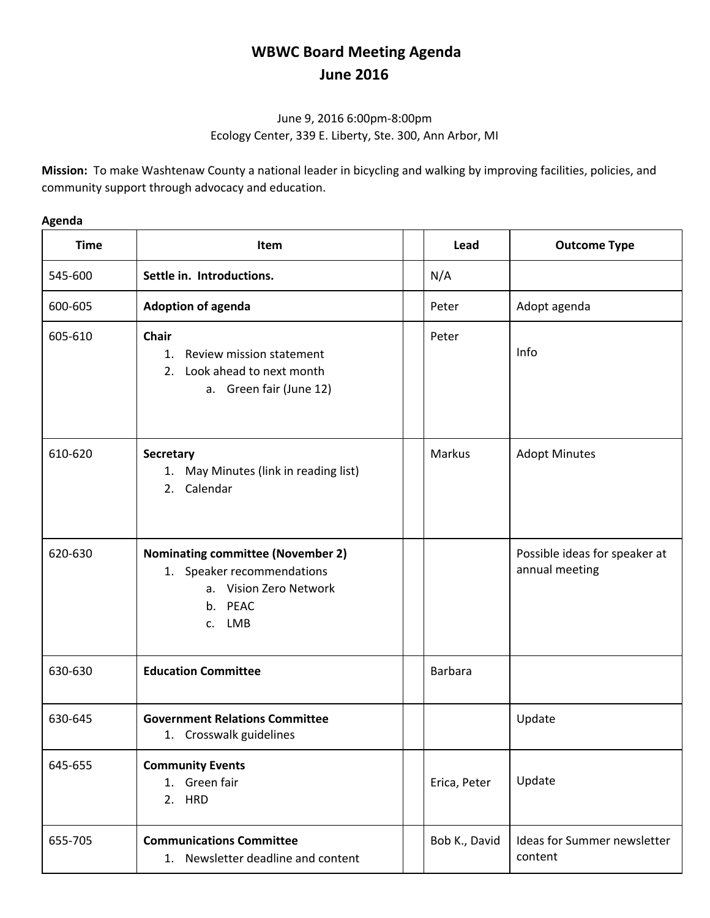## **WBWC Board Meeting Agenda June 2016**

## June 9, 2016 6:00pm-8:00pm Ecology Center, 339 E. Liberty, Ste. 300, Ann Arbor, MI

**Mission:** To make Washtenaw County a national leader in bicycling and walking by improving facilities, policies, and community support through advocacy and education.

## **Agenda**

| <b>Time</b> | Item                                                                                                                  | Lead          | <b>Outcome Type</b>                             |
|-------------|-----------------------------------------------------------------------------------------------------------------------|---------------|-------------------------------------------------|
| 545-600     | Settle in. Introductions.                                                                                             | N/A           |                                                 |
| 600-605     | <b>Adoption of agenda</b>                                                                                             | Peter         | Adopt agenda                                    |
| 605-610     | <b>Chair</b><br>Review mission statement<br>1.<br>Look ahead to next month<br>2.<br>a. Green fair (June 12)           | Peter         | Info                                            |
| 610-620     | <b>Secretary</b><br>1. May Minutes (link in reading list)<br>2. Calendar                                              | Markus        | <b>Adopt Minutes</b>                            |
| 620-630     | <b>Nominating committee (November 2)</b><br>1. Speaker recommendations<br>a. Vision Zero Network<br>b. PEAC<br>c. LMB |               | Possible ideas for speaker at<br>annual meeting |
| 630-630     | <b>Education Committee</b>                                                                                            | Barbara       |                                                 |
| 630-645     | <b>Government Relations Committee</b><br>1. Crosswalk guidelines                                                      |               | Update                                          |
| 645-655     | <b>Community Events</b><br>1. Green fair<br>2. HRD                                                                    | Erica, Peter  | Update                                          |
| 655-705     | <b>Communications Committee</b><br>1. Newsletter deadline and content                                                 | Bob K., David | Ideas for Summer newsletter<br>content          |